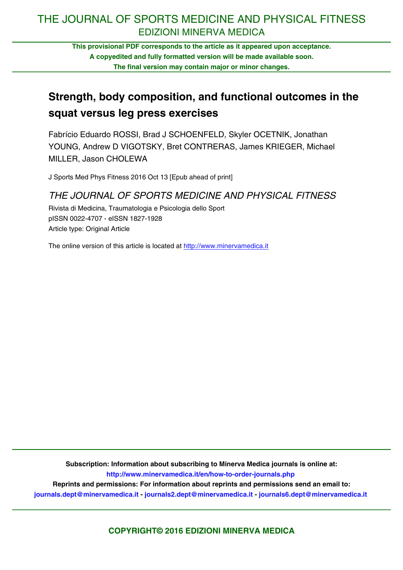# THE JOURNAL OF SPORTS MEDICINE AND PHYSICAL FITNESS EDIZIONI MINERVA MEDICA

**This provisional PDF corresponds to the article as it appeared upon acceptance. A copyedited and fully formatted version will be made available soon. The final version may contain major or minor changes.**

# **Strength, body composition, and functional outcomes in the squat versus leg press exercises**

Fabrício Eduardo ROSSI, Brad J SCHOENFELD, Skyler OCETNIK, Jonathan YOUNG, Andrew D VIGOTSKY, Bret CONTRERAS, James KRIEGER, Michael MILLER, Jason CHOLEWA

J Sports Med Phys Fitness 2016 Oct 13 [Epub ahead of print]

# THE JOURNAL OF SPORTS MEDICINE AND PHYSICAL FITNESS

Rivista di Medicina, Traumatologia e Psicologia dello Sport pISSN 0022-4707 - eISSN 1827-1928 Article type: Original Article

The online version of this article is located at http://www.minervamedica.it

**Subscription: Information about subscribing to Minerva Medica journals is online at: <http://www.minervamedica.it/en/how-to-order-journals.php>**

**Reprints and permissions: For information about reprints and permissions send an email to: [journals.dept@minervamedica.it](mailto:journals.dept@minervamedica.it) - [journals2.dept@minervamedica.it](mailto:journals2.dept@minervamedica.it) - [journals6.dept@minervamedica.it](mailto:journals6.dept@minervamedica.it)**

**COPYRIGHT© 2016 EDIZIONI MINERVA MEDICA**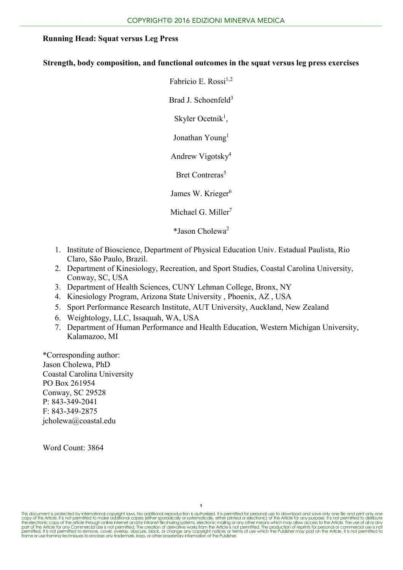# **Strength, body composition, and functional outcomes in the squat versus leg press exercises**

Fabrício E. Rossi $^{1,2}$ Brad J. Schoenfeld<sup>3</sup> Skyler Ocetnik<sup>1</sup>, Jonathan Young<sup>1</sup> Andrew Vigotsky4

Bret Contreras<sup>5</sup>

James W. Krieger<sup>6</sup>

Michael G. Miller<sup>7</sup>

\*Jason Cholewa2

- 1. Institute of Bioscience, Department of Physical Education Univ. Estadual Paulista, Rio Claro, São Paulo, Brazil.
- 2. Department of Kinesiology, Recreation, and Sport Studies, Coastal Carolina University, Conway, SC, USA
- 3. Department of Health Sciences, CUNY Lehman College, Bronx, NY
- 4. Kinesiology Program, Arizona State University , Phoenix, AZ , USA
- 5. Sport Performance Research Institute, AUT University, Auckland, New Zealand
- 6. Weightology, LLC, Issaquah, WA, USA
- 7. Department of Human Performance and Health Education, Western Michigan University, Kalamazoo, MI

\*Corresponding author: Jason Cholewa, PhD Coastal Carolina University PO Box 261954 Conway, SC 29528 P: 843-349-2041 F: 843-349-2875 jcholewa@coastal.edu

Word Count: 3864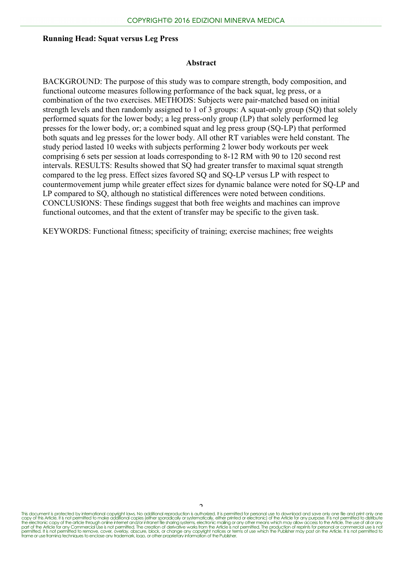#### **Abstract**

BACKGROUND: The purpose of this study was to compare strength, body composition, and functional outcome measures following performance of the back squat, leg press, or a combination of the two exercises. METHODS: Subjects were pair-matched based on initial strength levels and then randomly assigned to 1 of 3 groups: A squat-only group (SQ) that solely performed squats for the lower body; a leg press-only group (LP) that solely performed leg presses for the lower body, or; a combined squat and leg press group (SQ-LP) that performed both squats and leg presses for the lower body. All other RT variables were held constant. The study period lasted 10 weeks with subjects performing 2 lower body workouts per week comprising 6 sets per session at loads corresponding to 8-12 RM with 90 to 120 second rest intervals. RESULTS: Results showed that SQ had greater transfer to maximal squat strength compared to the leg press. Effect sizes favored SQ and SQ-LP versus LP with respect to countermovement jump while greater effect sizes for dynamic balance were noted for SQ-LP and LP compared to SQ, although no statistical differences were noted between conditions. CONCLUSIONS: These findings suggest that both free weights and machines can improve functional outcomes, and that the extent of transfer may be specific to the given task.

KEYWORDS: Functional fitness; specificity of training; exercise machines; free weights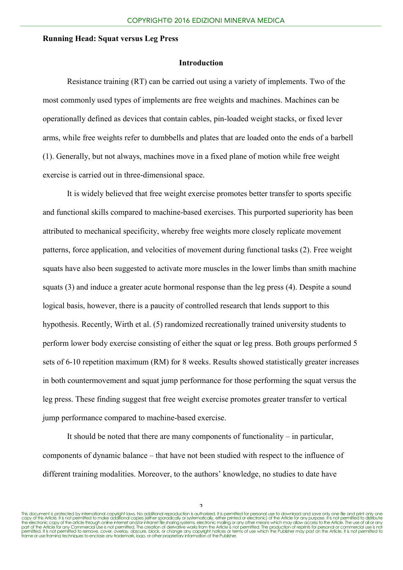## **Introduction**

Resistance training (RT) can be carried out using a variety of implements. Two of the most commonly used types of implements are free weights and machines. Machines can be operationally defined as devices that contain cables, pin-loaded weight stacks, or fixed lever arms, while free weights refer to dumbbells and plates that are loaded onto the ends of a barbell (1). Generally, but not always, machines move in a fixed plane of motion while free weight exercise is carried out in three-dimensional space.

It is widely believed that free weight exercise promotes better transfer to sports specific and functional skills compared to machine-based exercises. This purported superiority has been attributed to mechanical specificity, whereby free weights more closely replicate movement patterns, force application, and velocities of movement during functional tasks (2). Free weight squats have also been suggested to activate more muscles in the lower limbs than smith machine squats (3) and induce a greater acute hormonal response than the leg press (4). Despite a sound logical basis, however, there is a paucity of controlled research that lends support to this hypothesis. Recently, Wirth et al. (5) randomized recreationally trained university students to perform lower body exercise consisting of either the squat or leg press. Both groups performed 5 sets of 6-10 repetition maximum (RM) for 8 weeks. Results showed statistically greater increases in both countermovement and squat jump performance for those performing the squat versus the leg press. These finding suggest that free weight exercise promotes greater transfer to vertical jump performance compared to machine-based exercise.

It should be noted that there are many components of functionality – in particular, components of dynamic balance – that have not been studied with respect to the influence of different training modalities. Moreover, to the authors' knowledge, no studies to date have

 $\frac{2}{\pi}$  This document is protected by international copyright laws. No additional reproduction is authorized. It is permitted for personal use to download and save only one file and print only one copy of this Article. It is not permitted to make addifional copies (either sparacically or systematically, either printed or electronic) of the Article for any purpose. It is not permitted to distribute<br>the electronic cop permitted. It is not permitted to remove, cover, overlay, obscure, block, or change any copyright notices or terms of use which the Publisher may post on the Article. It is not permitted to<br>frame or use framing techniques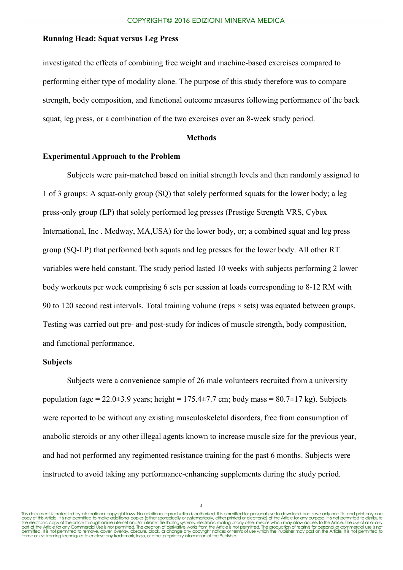investigated the effects of combining free weight and machine-based exercises compared to performing either type of modality alone. The purpose of this study therefore was to compare strength, body composition, and functional outcome measures following performance of the back squat, leg press, or a combination of the two exercises over an 8-week study period.

## **Methods**

# **Experimental Approach to the Problem**

Subjects were pair-matched based on initial strength levels and then randomly assigned to 1 of 3 groups: A squat-only group (SQ) that solely performed squats for the lower body; a leg press-only group (LP) that solely performed leg presses (Prestige Strength VRS, Cybex International, Inc . Medway, MA,USA) for the lower body, or; a combined squat and leg press group (SQ-LP) that performed both squats and leg presses for the lower body. All other RT variables were held constant. The study period lasted 10 weeks with subjects performing 2 lower body workouts per week comprising 6 sets per session at loads corresponding to 8-12 RM with 90 to 120 second rest intervals. Total training volume (reps × sets) was equated between groups. Testing was carried out pre- and post-study for indices of muscle strength, body composition, and functional performance.

## **Subjects**

Subjects were a convenience sample of 26 male volunteers recruited from a university population (age =  $22.0\pm3.9$  years; height =  $175.4\pm7.7$  cm; body mass =  $80.7\pm17$  kg). Subjects were reported to be without any existing musculoskeletal disorders, free from consumption of anabolic steroids or any other illegal agents known to increase muscle size for the previous year, and had not performed any regimented resistance training for the past 6 months. Subjects were instructed to avoid taking any performance-enhancing supplements during the study period.

 $\lambda$ 

This document is protected by international copyright laws. No additional reproduction is authorized. It is permitted for personal use to download and save only one file and print only one copy of this Article. It is not permitted to make addifional copies (either sparacically or systematically, either printed or electronic) of the Article for any purpose. It is not permitted to distribute<br>the electronic cop permitted. It is not permitted to remove, cover, overlay, obscure, block, or change any copyright notices or terms of use which the Publisher may post on the Article. It is not permitted to<br>frame or use framing techniques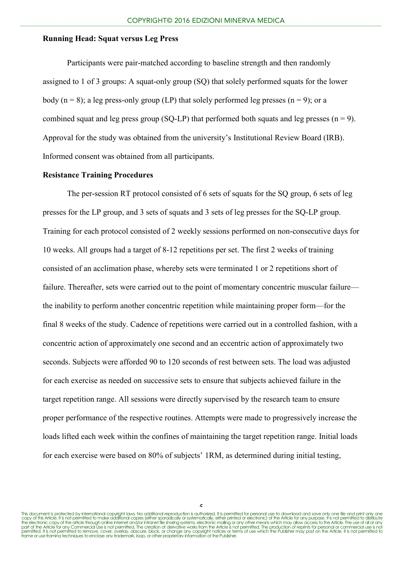Participants were pair-matched according to baseline strength and then randomly assigned to 1 of 3 groups: A squat-only group (SQ) that solely performed squats for the lower body ( $n = 8$ ); a leg press-only group (LP) that solely performed leg presses ( $n = 9$ ); or a combined squat and leg press group (SQ-LP) that performed both squats and leg presses ( $n = 9$ ). Approval for the study was obtained from the university's Institutional Review Board (IRB). Informed consent was obtained from all participants.

# **Resistance Training Procedures**

The per-session RT protocol consisted of 6 sets of squats for the SQ group, 6 sets of leg presses for the LP group, and 3 sets of squats and 3 sets of leg presses for the SQ-LP group. Training for each protocol consisted of 2 weekly sessions performed on non-consecutive days for 10 weeks. All groups had a target of 8-12 repetitions per set. The first 2 weeks of training consisted of an acclimation phase, whereby sets were terminated 1 or 2 repetitions short of failure. Thereafter, sets were carried out to the point of momentary concentric muscular failure the inability to perform another concentric repetition while maintaining proper form—for the final 8 weeks of the study. Cadence of repetitions were carried out in a controlled fashion, with a concentric action of approximately one second and an eccentric action of approximately two seconds. Subjects were afforded 90 to 120 seconds of rest between sets. The load was adjusted for each exercise as needed on successive sets to ensure that subjects achieved failure in the target repetition range. All sessions were directly supervised by the research team to ensure proper performance of the respective routines. Attempts were made to progressively increase the loads lifted each week within the confines of maintaining the target repetition range. Initial loads for each exercise were based on 80% of subjects' 1RM, as determined during initial testing,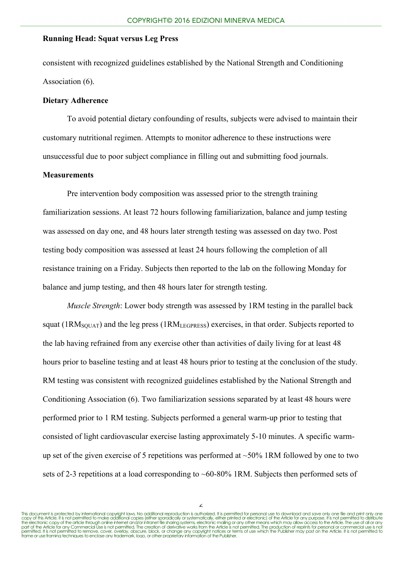consistent with recognized guidelines established by the National Strength and Conditioning Association (6).

## **Dietary Adherence**

To avoid potential dietary confounding of results, subjects were advised to maintain their customary nutritional regimen. Attempts to monitor adherence to these instructions were unsuccessful due to poor subject compliance in filling out and submitting food journals.

#### **Measurements**

Pre intervention body composition was assessed prior to the strength training familiarization sessions. At least 72 hours following familiarization, balance and jump testing was assessed on day one, and 48 hours later strength testing was assessed on day two. Post testing body composition was assessed at least 24 hours following the completion of all resistance training on a Friday. Subjects then reported to the lab on the following Monday for balance and jump testing, and then 48 hours later for strength testing.

*Muscle Strength*: Lower body strength was assessed by 1RM testing in the parallel back squat (1RM<sub>SQUAT</sub>) and the leg press (1RM<sub>LEGPRESS</sub>) exercises, in that order. Subjects reported to the lab having refrained from any exercise other than activities of daily living for at least 48 hours prior to baseline testing and at least 48 hours prior to testing at the conclusion of the study. RM testing was consistent with recognized guidelines established by the National Strength and Conditioning Association (6). Two familiarization sessions separated by at least 48 hours were performed prior to 1 RM testing. Subjects performed a general warm-up prior to testing that consisted of light cardiovascular exercise lasting approximately 5-10 minutes. A specific warmup set of the given exercise of 5 repetitions was performed at  $\sim$ 50% 1RM followed by one to two sets of 2-3 repetitions at a load corresponding to  $\sim 60{\text -}80\%$  1RM. Subjects then performed sets of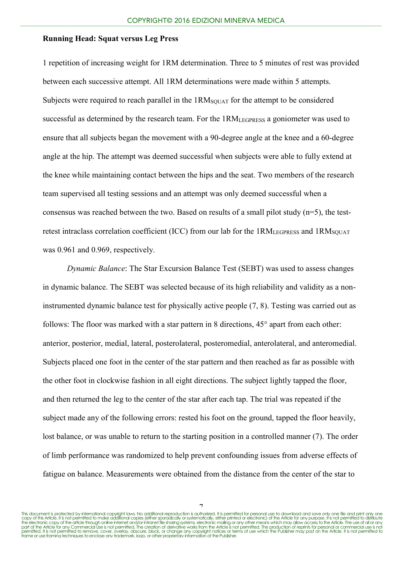1 repetition of increasing weight for 1RM determination. Three to 5 minutes of rest was provided between each successive attempt. All 1RM determinations were made within 5 attempts. Subjects were required to reach parallel in the 1RM<sub>SQUAT</sub> for the attempt to be considered successful as determined by the research team. For the 1RM<sub>LEGPRESS</sub> a goniometer was used to ensure that all subjects began the movement with a 90-degree angle at the knee and a 60-degree angle at the hip. The attempt was deemed successful when subjects were able to fully extend at the knee while maintaining contact between the hips and the seat. Two members of the research team supervised all testing sessions and an attempt was only deemed successful when a consensus was reached between the two. Based on results of a small pilot study  $(n=5)$ , the testretest intraclass correlation coefficient (ICC) from our lab for the  $1RM<sub>LEGPRES</sub>$  and  $1RM<sub>SOLIAT</sub>$ was 0.961 and 0.969, respectively.

*Dynamic Balance*: The Star Excursion Balance Test (SEBT) was used to assess changes in dynamic balance. The SEBT was selected because of its high reliability and validity as a noninstrumented dynamic balance test for physically active people (7, 8). Testing was carried out as follows: The floor was marked with a star pattern in 8 directions,  $45^{\circ}$  apart from each other: anterior, posterior, medial, lateral, posterolateral, posteromedial, anterolateral, and anteromedial. Subjects placed one foot in the center of the star pattern and then reached as far as possible with the other foot in clockwise fashion in all eight directions. The subject lightly tapped the floor, and then returned the leg to the center of the star after each tap. The trial was repeated if the subject made any of the following errors: rested his foot on the ground, tapped the floor heavily, lost balance, or was unable to return to the starting position in a controlled manner (7). The order of limb performance was randomized to help prevent confounding issues from adverse effects of fatigue on balance. Measurements were obtained from the distance from the center of the star to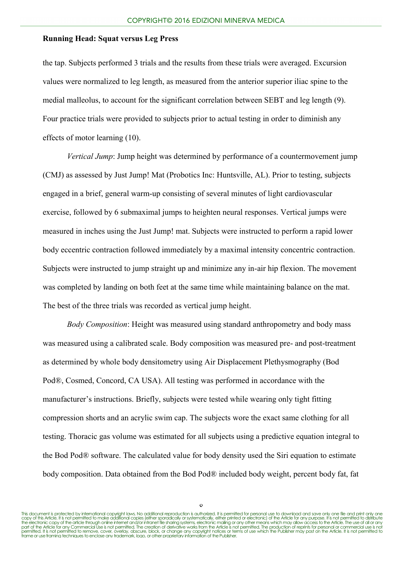the tap. Subjects performed 3 trials and the results from these trials were averaged. Excursion values were normalized to leg length, as measured from the anterior superior iliac spine to the medial malleolus, to account for the significant correlation between SEBT and leg length (9). Four practice trials were provided to subjects prior to actual testing in order to diminish any effects of motor learning (10).

*Vertical Jump*: Jump height was determined by performance of a countermovement jump (CMJ) as assessed by Just Jump! Mat (Probotics Inc: Huntsville, AL). Prior to testing, subjects engaged in a brief, general warm-up consisting of several minutes of light cardiovascular exercise, followed by 6 submaximal jumps to heighten neural responses. Vertical jumps were measured in inches using the Just Jump! mat. Subjects were instructed to perform a rapid lower body eccentric contraction followed immediately by a maximal intensity concentric contraction. Subjects were instructed to jump straight up and minimize any in-air hip flexion. The movement was completed by landing on both feet at the same time while maintaining balance on the mat. The best of the three trials was recorded as vertical jump height.

*Body Composition*: Height was measured using standard anthropometry and body mass was measured using a calibrated scale. Body composition was measured pre- and post-treatment as determined by whole body densitometry using Air Displacement Plethysmography (Bod Pod®, Cosmed, Concord, CA USA). All testing was performed in accordance with the manufacturer's instructions. Briefly, subjects were tested while wearing only tight fitting compression shorts and an acrylic swim cap. The subjects wore the exact same clothing for all testing. Thoracic gas volume was estimated for all subjects using a predictive equation integral to the Bod Pod® software. The calculated value for body density used the Siri equation to estimate body composition. Data obtained from the Bod Pod® included body weight, percent body fat, fat

This document is protected by international copyright laws. No additional reproduction is authorized. It is permitted for personal use to download and save only one file and print only one copy of this Article. It is not permitted to make addifional copies (either sparacically or systematically, either printed or electronic) of the Article for any purpose. It is not permitted to distribute<br>the electronic cop permitted. It is not permitted to remove, cover, overlay, obscure, block, or change any copyright notices or terms of use which the Publisher may post on the Article. It is not permitted to<br>frame or use framing techniques

 $\circ$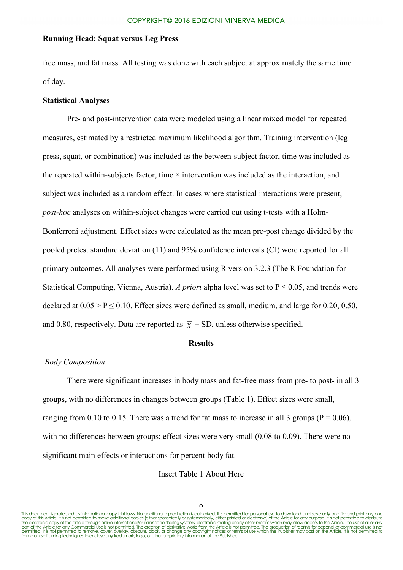free mass, and fat mass. All testing was done with each subject at approximately the same time of day.

# **Statistical Analyses**

Pre- and post-intervention data were modeled using a linear mixed model for repeated measures, estimated by a restricted maximum likelihood algorithm. Training intervention (leg press, squat, or combination) was included as the between-subject factor, time was included as the repeated within-subjects factor, time  $\times$  intervention was included as the interaction, and subject was included as a random effect. In cases where statistical interactions were present, *post-hoc* analyses on within-subject changes were carried out using t-tests with a Holm-Bonferroni adjustment. Effect sizes were calculated as the mean pre-post change divided by the pooled pretest standard deviation (11) and 95% confidence intervals (CI) were reported for all primary outcomes. All analyses were performed using R version 3.2.3 (The R Foundation for Statistical Computing, Vienna, Austria). *A priori* alpha level was set to  $P \le 0.05$ , and trends were declared at  $0.05 > P \le 0.10$ . Effect sizes were defined as small, medium, and large for 0.20, 0.50, and 0.80, respectively. Data are reported as  $\bar{x} \pm SD$ , unless otherwise specified.

#### **Results**

#### *Body Composition*

There were significant increases in body mass and fat-free mass from pre- to post- in all 3 groups, with no differences in changes between groups (Table 1). Effect sizes were small, ranging from 0.10 to 0.15. There was a trend for fat mass to increase in all 3 groups ( $P = 0.06$ ), with no differences between groups; effect sizes were very small (0.08 to 0.09). There were no significant main effects or interactions for percent body fat.

Insert Table 1 About Here

 $\Omega$ 

This document is protected by international copyright laws. No additional reproduction is authorized. It is permitted for personal use to download and save only one file and print only one copy of this Article. It is not permitted to make addifional copies (either sparacically or systematically, either printed or electronic) of the Article for any purpose. It is not permitted to distribute<br>the electronic cop permitted. It is not permitted to remove, cover, overlay, obscure, block, or change any copyright notices or terms of use which the Publisher may post on the Article. It is not permitted to<br>frame or use framing techniques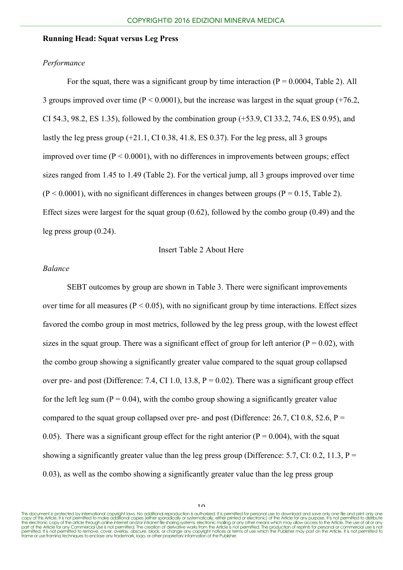## *Performance*

For the squat, there was a significant group by time interaction  $(P = 0.0004, \text{Table 2})$ . All 3 groups improved over time ( $P < 0.0001$ ), but the increase was largest in the squat group (+76.2, CI 54.3, 98.2, ES 1.35), followed by the combination group (+53.9, CI 33.2, 74.6, ES 0.95), and lastly the leg press group  $(+21.1, C1 0.38, 41.8, ES 0.37)$ . For the leg press, all 3 groups improved over time  $(P < 0.0001)$ , with no differences in improvements between groups; effect sizes ranged from 1.45 to 1.49 (Table 2). For the vertical jump, all 3 groups improved over time  $(P < 0.0001)$ , with no significant differences in changes between groups  $(P = 0.15,$  Table 2). Effect sizes were largest for the squat group  $(0.62)$ , followed by the combo group  $(0.49)$  and the leg press group (0.24).

#### Insert Table 2 About Here

#### *Balance*

SEBT outcomes by group are shown in Table 3. There were significant improvements over time for all measures ( $P < 0.05$ ), with no significant group by time interactions. Effect sizes favored the combo group in most metrics, followed by the leg press group, with the lowest effect sizes in the squat group. There was a significant effect of group for left anterior ( $P = 0.02$ ), with the combo group showing a significantly greater value compared to the squat group collapsed over pre- and post (Difference: 7.4, CI 1.0, 13.8,  $P = 0.02$ ). There was a significant group effect for the left leg sum ( $P = 0.04$ ), with the combo group showing a significantly greater value compared to the squat group collapsed over pre- and post (Difference: 26.7, CI 0.8, 52.6,  $P =$ 0.05). There was a significant group effect for the right anterior ( $P = 0.004$ ), with the squat showing a significantly greater value than the leg press group (Difference: 5.7, CI: 0.2, 11.3,  $P =$ 0.03), as well as the combo showing a significantly greater value than the leg press group

This document is protected by international copyright laws. No additional reproduction is authorized. It is permitted for personal use to download and save only one file and print only one copy of this Article. It is not permitted to make addifional copies (either sparacically or systematically, either printed or electronic) of the Article for any purpose. It is not permitted to distribute<br>the electronic cop permitted. It is not permitted to remove, cover, overlay, obscure, block, or change any copyright notices or terms of use which the Publisher may post on the Article. It is not permitted to<br>frame or use framing techniques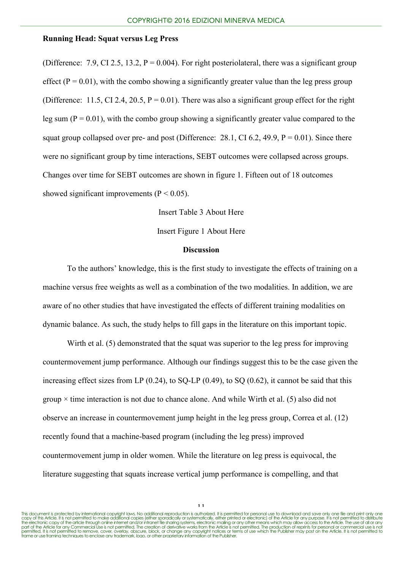(Difference: 7.9, CI 2.5, 13.2,  $P = 0.004$ ). For right posteriolateral, there was a significant group effect ( $P = 0.01$ ), with the combo showing a significantly greater value than the leg press group (Difference: 11.5, CI 2.4, 20.5,  $P = 0.01$ ). There was also a significant group effect for the right leg sum ( $P = 0.01$ ), with the combo group showing a significantly greater value compared to the squat group collapsed over pre- and post (Difference: 28.1, CI 6.2, 49.9,  $P = 0.01$ ). Since there were no significant group by time interactions, SEBT outcomes were collapsed across groups. Changes over time for SEBT outcomes are shown in figure 1. Fifteen out of 18 outcomes showed significant improvements ( $P < 0.05$ ).

Insert Table 3 About Here

Insert Figure 1 About Here

# **Discussion**

To the authors' knowledge, this is the first study to investigate the effects of training on a machine versus free weights as well as a combination of the two modalities. In addition, we are aware of no other studies that have investigated the effects of different training modalities on dynamic balance. As such, the study helps to fill gaps in the literature on this important topic.

Wirth et al. (5) demonstrated that the squat was superior to the leg press for improving countermovement jump performance. Although our findings suggest this to be the case given the increasing effect sizes from LP  $(0.24)$ , to SQ-LP  $(0.49)$ , to SQ  $(0.62)$ , it cannot be said that this group  $\times$  time interaction is not due to chance alone. And while Wirth et al. (5) also did not observe an increase in countermovement jump height in the leg press group, Correa et al. (12) recently found that a machine-based program (including the leg press) improved countermovement jump in older women. While the literature on leg press is equivocal, the literature suggesting that squats increase vertical jump performance is compelling, and that

This document is protected by international copyright laws. No additional reproduction is authorized. It is permitted for personal use to download and save only one file and print only one copy of this Article. It is not permitted to make addifional copies (either sparacically or systematically, either printed or electronic) of the Article for any purpose. It is not permitted to distribute<br>the electronic cop permitted. It is not permitted to remove, cover, overlay, obscure, block, or change any copyright notices or terms of use which the Publisher may post on the Article. It is not permitted to<br>frame or use framing techniques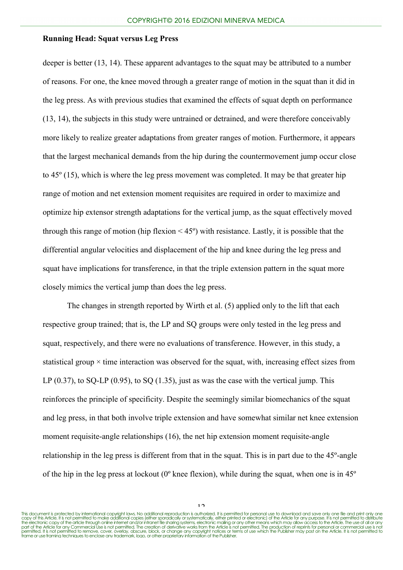deeper is better (13, 14). These apparent advantages to the squat may be attributed to a number of reasons. For one, the knee moved through a greater range of motion in the squat than it did in the leg press. As with previous studies that examined the effects of squat depth on performance (13, 14), the subjects in this study were untrained or detrained, and were therefore conceivably more likely to realize greater adaptations from greater ranges of motion. Furthermore, it appears that the largest mechanical demands from the hip during the countermovement jump occur close to 45º (15), which is where the leg press movement was completed. It may be that greater hip range of motion and net extension moment requisites are required in order to maximize and optimize hip extensor strength adaptations for the vertical jump, as the squat effectively moved through this range of motion (hip flexion  $\leq 45^{\circ}$ ) with resistance. Lastly, it is possible that the differential angular velocities and displacement of the hip and knee during the leg press and squat have implications for transference, in that the triple extension pattern in the squat more closely mimics the vertical jump than does the leg press.

The changes in strength reported by Wirth et al. (5) applied only to the lift that each respective group trained; that is, the LP and SQ groups were only tested in the leg press and squat, respectively, and there were no evaluations of transference. However, in this study, a statistical group  $\times$  time interaction was observed for the squat, with, increasing effect sizes from LP  $(0.37)$ , to SQ-LP  $(0.95)$ , to SQ  $(1.35)$ , just as was the case with the vertical jump. This reinforces the principle of specificity. Despite the seemingly similar biomechanics of the squat and leg press, in that both involve triple extension and have somewhat similar net knee extension moment requisite-angle relationships (16), the net hip extension moment requisite-angle relationship in the leg press is different from that in the squat. This is in part due to the 45º-angle of the hip in the leg press at lockout (0º knee flexion), while during the squat, when one is in 45º

 $1<sub>2</sub>$ 

This document is protected by international copyright laws. No additional reproduction is authorized. It is permitted for personal use to download and save only one file and print only one copy of this Article. It is not permitted to make addifional copies (either sparacically or systematically, either printed or electronic) of the Article for any purpose. It is not permitted to distribute<br>the electronic cop permitted. It is not permitted to remove, cover, overlay, obscure, block, or change any copyright notices or terms of use which the Publisher may post on the Article. It is not permitted to<br>frame or use framing techniques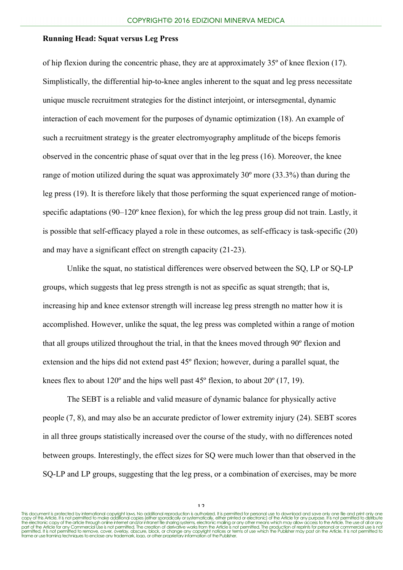of hip flexion during the concentric phase, they are at approximately 35º of knee flexion (17). Simplistically, the differential hip-to-knee angles inherent to the squat and leg press necessitate unique muscle recruitment strategies for the distinct interjoint, or intersegmental, dynamic interaction of each movement for the purposes of dynamic optimization (18). An example of such a recruitment strategy is the greater electromyography amplitude of the biceps femoris observed in the concentric phase of squat over that in the leg press (16). Moreover, the knee range of motion utilized during the squat was approximately 30º more (33.3%) than during the leg press (19). It is therefore likely that those performing the squat experienced range of motionspecific adaptations (90–120° knee flexion), for which the leg press group did not train. Lastly, it is possible that self-efficacy played a role in these outcomes, as self-efficacy is task-specific (20) and may have a significant effect on strength capacity (21-23).

Unlike the squat, no statistical differences were observed between the SQ, LP or SQ-LP groups, which suggests that leg press strength is not as specific as squat strength; that is, increasing hip and knee extensor strength will increase leg press strength no matter how it is accomplished. However, unlike the squat, the leg press was completed within a range of motion that all groups utilized throughout the trial, in that the knees moved through 90º flexion and extension and the hips did not extend past 45º flexion; however, during a parallel squat, the knees flex to about  $120^{\circ}$  and the hips well past  $45^{\circ}$  flexion, to about  $20^{\circ}$  (17, 19).

The SEBT is a reliable and valid measure of dynamic balance for physically active people (7, 8), and may also be an accurate predictor of lower extremity injury (24). SEBT scores in all three groups statistically increased over the course of the study, with no differences noted between groups. Interestingly, the effect sizes for SQ were much lower than that observed in the SO-LP and LP groups, suggesting that the leg press, or a combination of exercises, may be more

 $1<sub>2</sub>$ 

This document is protected by international copyright laws. No additional reproduction is authorized. It is permitted for personal use to download and save only one file and print only one copy of this Article. It is not permitted to make addifional copies (either sparacically or systematically, either printed or electronic) of the Article for any purpose. It is not permitted to distribute<br>the electronic cop permitted. It is not permitted to remove, cover, overlay, obscure, block, or change any copyright notices or terms of use which the Publisher may post on the Article. It is not permitted to<br>frame or use framing techniques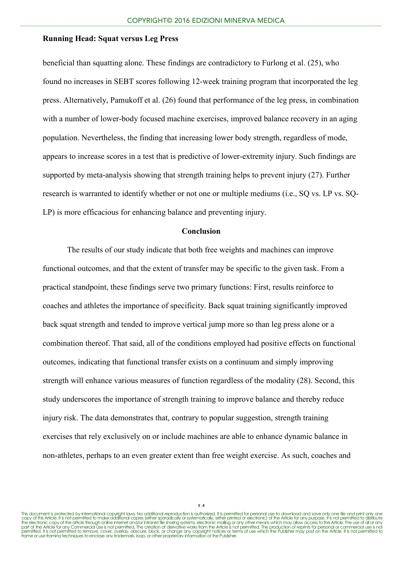beneficial than squatting alone. These findings are contradictory to Furlong et al. (25), who found no increases in SEBT scores following 12-week training program that incorporated the leg press. Alternatively, Pamukoff et al. (26) found that performance of the leg press, in combination with a number of lower-body focused machine exercises, improved balance recovery in an aging population. Nevertheless, the finding that increasing lower body strength, regardless of mode, appears to increase scores in a test that is predictive of lower-extremity injury. Such findings are supported by meta-analysis showing that strength training helps to prevent injury (27). Further research is warranted to identify whether or not one or multiple mediums (i.e., SQ vs. LP vs. SQ-LP) is more efficacious for enhancing balance and preventing injury.

## **Conclusion**

The results of our study indicate that both free weights and machines can improve functional outcomes, and that the extent of transfer may be specific to the given task. From a practical standpoint, these findings serve two primary functions: First, results reinforce to coaches and athletes the importance of specificity. Back squat training significantly improved back squat strength and tended to improve vertical jump more so than leg press alone or a combination thereof. That said, all of the conditions employed had positive effects on functional outcomes, indicating that functional transfer exists on a continuum and simply improving strength will enhance various measures of function regardless of the modality (28). Second, this study underscores the importance of strength training to improve balance and thereby reduce injury risk. The data demonstrates that, contrary to popular suggestion, strength training exercises that rely exclusively on or include machines are able to enhance dynamic balance in non-athletes, perhaps to an even greater extent than free weight exercise. As such, coaches and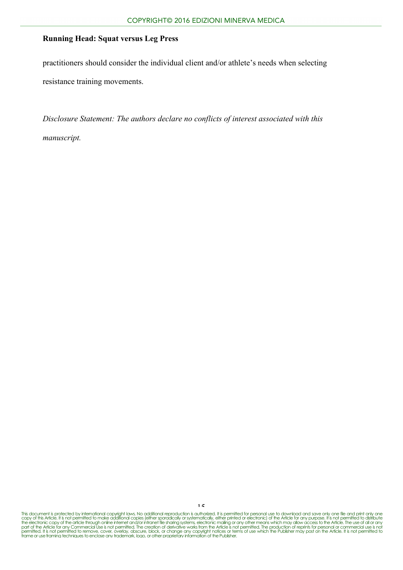practitioners should consider the individual client and/or athlete's needs when selecting resistance training movements.

*Disclosure Statement: The authors declare no conflicts of interest associated with this manuscript.*

This document is protected by international copyright laws. No additional reproduction is authorized. It is permitted for personal use to download and save only one file and print only one<br>copy of this Article. It is not p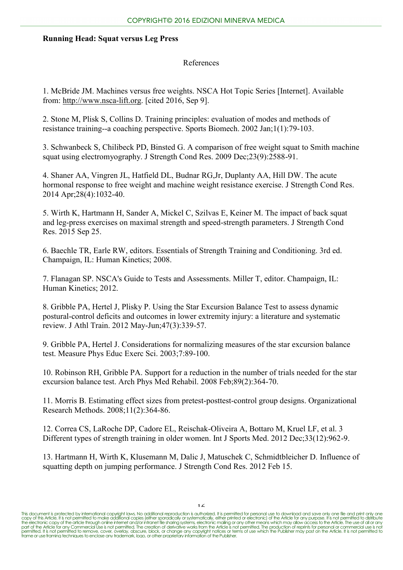# References

1. McBride JM. Machines versus free weights. NSCA Hot Topic Series [Internet]. Available from: [http://www.nsca-lift.org.](http://www.nsca-lift.org/) [cited 2016, Sep 9].

2. Stone M, Plisk S, Collins D. Training principles: evaluation of modes and methods of resistance training--a coaching perspective. Sports Biomech. 2002 Jan;1(1):79-103.

3. Schwanbeck S, Chilibeck PD, Binsted G. A comparison of free weight squat to Smith machine squat using electromyography. J Strength Cond Res. 2009 Dec;23(9):2588-91.

4. Shaner AA, Vingren JL, Hatfield DL, Budnar RG,Jr, Duplanty AA, Hill DW. The acute hormonal response to free weight and machine weight resistance exercise. J Strength Cond Res. 2014 Apr;28(4):1032-40.

5. Wirth K, Hartmann H, Sander A, Mickel C, Szilvas E, Keiner M. The impact of back squat and leg-press exercises on maximal strength and speed-strength parameters. J Strength Cond Res. 2015 Sep 25.

6. Baechle TR, Earle RW, editors. Essentials of Strength Training and Conditioning. 3rd ed. Champaign, IL: Human Kinetics; 2008.

7. Flanagan SP. NSCA's Guide to Tests and Assessments. Miller T, editor. Champaign, IL: Human Kinetics; 2012.

8. Gribble PA, Hertel J, Plisky P. Using the Star Excursion Balance Test to assess dynamic postural-control deficits and outcomes in lower extremity injury: a literature and systematic review. J Athl Train. 2012 May-Jun;47(3):339-57.

9. Gribble PA, Hertel J. Considerations for normalizing measures of the star excursion balance test. Measure Phys Educ Exerc Sci. 2003;7:89-100.

10. Robinson RH, Gribble PA. Support for a reduction in the number of trials needed for the star excursion balance test. Arch Phys Med Rehabil. 2008 Feb;89(2):364-70.

11. Morris B. Estimating effect sizes from pretest-posttest-control group designs. Organizational Research Methods. 2008;11(2):364-86.

12. Correa CS, LaRoche DP, Cadore EL, Reischak-Oliveira A, Bottaro M, Kruel LF, et al. 3 Different types of strength training in older women. Int J Sports Med. 2012 Dec;33(12):962-9.

13. Hartmann H, Wirth K, Klusemann M, Dalic J, Matuschek C, Schmidtbleicher D. Influence of squatting depth on jumping performance. J Strength Cond Res. 2012 Feb 15.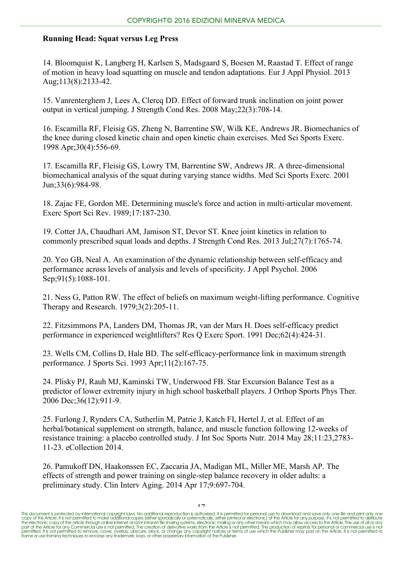14. Bloomquist K, Langberg H, Karlsen S, Madsgaard S, Boesen M, Raastad T. Effect of range of motion in heavy load squatting on muscle and tendon adaptations. Eur J Appl Physiol. 2013 Aug;113(8):2133-42.

15. Vanrenterghem J, Lees A, Clercq DD. Effect of forward trunk inclination on joint power output in vertical jumping. J Strength Cond Res. 2008 May;22(3):708-14.

16. Escamilla RF, Fleisig GS, Zheng N, Barrentine SW, Wilk KE, Andrews JR. Biomechanics of the knee during closed kinetic chain and open kinetic chain exercises. Med Sci Sports Exerc. 1998 Apr;30(4):556-69.

17. Escamilla RF, Fleisig GS, Lowry TM, Barrentine SW, Andrews JR. A three-dimensional biomechanical analysis of the squat during varying stance widths. Med Sci Sports Exerc. 2001 Jun;33(6):984-98.

18. Zajac FE, Gordon ME. Determining muscle's force and action in multi-articular movement. Exerc Sport Sci Rev. 1989;17:187-230.

19. Cotter JA, Chaudhari AM, Jamison ST, Devor ST. Knee joint kinetics in relation to commonly prescribed squat loads and depths. J Strength Cond Res. 2013 Jul;27(7):1765-74.

20. Yeo GB, Neal A. An examination of the dynamic relationship between self-efficacy and performance across levels of analysis and levels of specificity. J Appl Psychol. 2006 Sep; 91(5): 1088-101.

21. Ness G, Patton RW. The effect of beliefs on maximum weight-lifting performance. Cognitive Therapy and Research. 1979;3(2):205-11.

22. Fitzsimmons PA, Landers DM, Thomas JR, van der Mars H. Does self-efficacy predict performance in experienced weightlifters? Res Q Exerc Sport. 1991 Dec;62(4):424-31.

23. Wells CM, Collins D, Hale BD. The self-efficacy-performance link in maximum strength performance. J Sports Sci. 1993 Apr;11(2):167-75.

24. Plisky PJ, Rauh MJ, Kaminski TW, Underwood FB. Star Excursion Balance Test as a predictor of lower extremity injury in high school basketball players. J Orthop Sports Phys Ther. 2006 Dec;36(12):911-9.

25. Furlong J, Rynders CA, Sutherlin M, Patrie J, Katch FI, Hertel J, et al. Effect of an herbal/botanical supplement on strength, balance, and muscle function following 12-weeks of resistance training: a placebo controlled study. J Int Soc Sports Nutr. 2014 May 28;11:23,2783- 11-23. eCollection 2014.

26. Pamukoff DN, Haakonssen EC, Zaccaria JA, Madigan ML, Miller ME, Marsh AP. The effects of strength and power training on single-step balance recovery in older adults: a preliminary study. Clin Interv Aging. 2014 Apr 17;9:697-704.

 $17$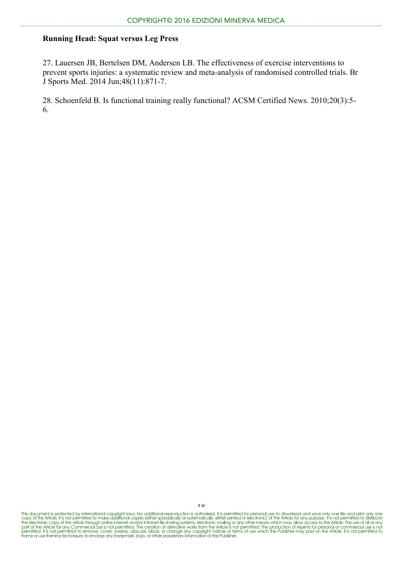27. Lauersen JB, Bertelsen DM, Andersen LB. The effectiveness of exercise interventions to prevent sports injuries: a systematic review and meta-analysis of randomised controlled trials. Br J Sports Med. 2014 Jun;48(11):871-7.

28. Schoenfeld B. Is functional training really functional? ACSM Certified News. 2010;20(3):5- 6.

This document is protected by international copyright laws. No additional reproduction is authorized. It is permitted for personal use to download and save only one file and print only one<br>copy of this Article. It is not p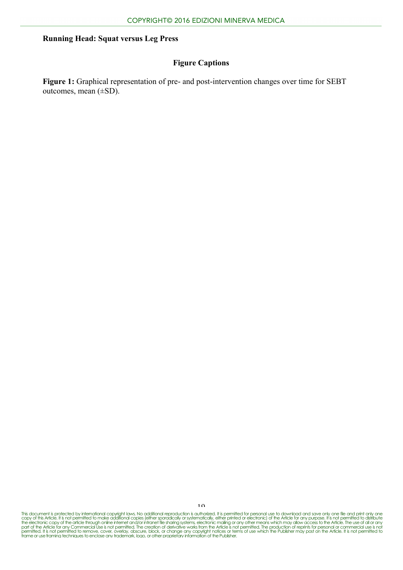# **Figure Captions**

**Figure 1:** Graphical representation of pre- and post-intervention changes over time for SEBT outcomes, mean (±SD).

This document is protected by international copyright laws. No additional reproduction is authorized. It is permitted for personal use to download and save only one file and print only one<br>copy of this Article. It is not p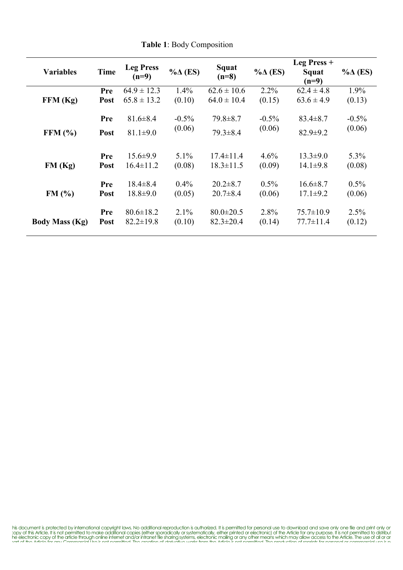| <b>Variables</b>      | <b>Time</b> | <b>Leg Press</b><br>$(n=9)$        | $% \triangle (ES)$ | Squat<br>$(n=8)$                   | $\% \Delta$ (ES)  | Leg Press +<br>Squat<br>$(n=9)$    | $\% \Delta$ (ES)  |
|-----------------------|-------------|------------------------------------|--------------------|------------------------------------|-------------------|------------------------------------|-------------------|
|                       | Pre         | $64.9 \pm 12.3$                    | $1.4\%$            | $62.6 \pm 10.6$                    | $2.2\%$           | $62.4 \pm 4.8$                     | 1.9%              |
| FFM (Kg)              | Post        | $65.8 \pm 13.2$                    | (0.10)             | $64.0 \pm 10.4$                    | (0.15)            | $63.6 \pm 4.9$                     | (0.13)            |
|                       | Pre         | $81.6 \pm 8.4$                     | $-0.5\%$           | $79.8 \pm 8.7$                     | $-0.5\%$          | $83.4 \pm 8.7$                     | $-0.5\%$          |
| FFM $(\% )$           | <b>Post</b> | $81.1 \pm 9.0$                     | (0.06)             | $79.3 \pm 8.4$                     | (0.06)            | $82.9 \pm 9.2$                     | (0.06)            |
|                       |             |                                    |                    |                                    |                   |                                    |                   |
|                       | Pre         | $15.6 \pm 9.9$                     | 5.1%               | $17.4 \pm 11.4$                    | 4.6%              | $13.3 \pm 9.0$                     | $5.3\%$           |
| FM(Kg)                | <b>Post</b> | $16.4 \pm 11.2$                    | (0.08)             | $18.3 \pm 11.5$                    | (0.09)            | $14.1 \pm 9.8$                     | (0.08)            |
| FM(%)                 | Pre<br>Post | $18.4 \pm 8.4$<br>$18.8 \pm 9.0$   | $0.4\%$<br>(0.05)  | $20.2 \pm 8.7$<br>$20.7 \pm 8.4$   | $0.5\%$<br>(0.06) | $16.6 \pm 8.7$<br>$17.1 \pm 9.2$   | $0.5\%$<br>(0.06) |
| <b>Body Mass (Kg)</b> | Pre<br>Post | $80.6 \pm 18.2$<br>$82.2 \pm 19.8$ | $2.1\%$<br>(0.10)  | $80.0 \pm 20.5$<br>$82.3 \pm 20.4$ | 2.8%<br>(0.14)    | $75.7 \pm 10.9$<br>$77.7 \pm 11.4$ | 2.5%<br>(0.12)    |

**Table 1**: Body Composition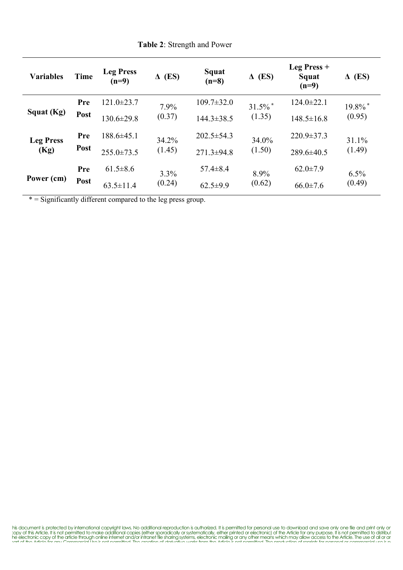| <b>Variables</b>         | <b>Time</b>        | <b>Leg Press</b><br>$(n=9)$ | $\Delta$ (ES)   | Squat<br>$(n=8)$ | $\Delta$ (ES)                   | Leg Press $+$<br>Squat<br>$(n=9)$ | $\Delta$ (ES)                   |
|--------------------------|--------------------|-----------------------------|-----------------|------------------|---------------------------------|-----------------------------------|---------------------------------|
| Squat (Kg)               | Pre                | $121.0 \pm 23.7$            | 7.9%            | $109.7 \pm 32.0$ | $31.5\%$ <sup>*</sup><br>(1.35) | $124.0 \pm 22.1$                  | $19.8\%$ <sup>*</sup><br>(0.95) |
|                          | Post               | $130.6 \pm 29.8$            | (0.37)          | $144.3 \pm 38.5$ |                                 | $148.5 \pm 16.8$                  |                                 |
| <b>Leg Press</b><br>(Kg) | Pre<br><b>Post</b> | $188.6 \pm 45.1$            | 34.2%<br>(1.45) | $202.5 \pm 54.3$ | 34.0%<br>(1.50)                 | $220.9 \pm 37.3$                  | 31.1%<br>(1.49)                 |
|                          |                    | $255.0 \pm 73.5$            |                 | $271.3 \pm 94.8$ |                                 | $289.6 \pm 40.5$                  |                                 |
| Power (cm)               | Pre                | $61.5 \pm 8.6$              | 3.3%            | $57.4 \pm 8.4$   | 8.9%<br>(0.62)                  | $62.0 \pm 7.9$                    | $6.5\%$<br>(0.49)               |
|                          | Post               | $63.5 \pm 11.4$             | (0.24)          | $62.5 \pm 9.9$   |                                 | $66.0 \pm 7.6$                    |                                 |

**Table 2**: Strength and Power

\* = Significantly different compared to the leg press group.

his document is protected by international copyright laws. No additional reproduction is authorized. It is permitted for personal use to download and save only one file and print only or copy of this Article. It is not per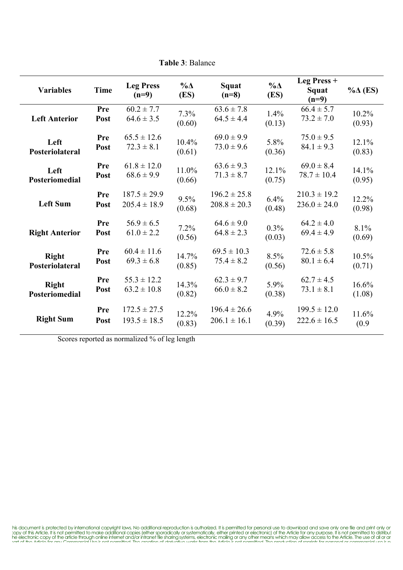| <b>Variables</b>      | <b>Time</b> | <b>Leg Press</b><br>$(n=9)$ | $\% \Delta$<br>(ES) | Squat<br>$(n=8)$ | $\% \Delta$<br>(ES) | Leg Press +<br>Squat<br>$(n=9)$ | $\% \Delta$ (ES) |
|-----------------------|-------------|-----------------------------|---------------------|------------------|---------------------|---------------------------------|------------------|
| <b>Left Anterior</b>  | Pre         | $60.2 \pm 7.7$              | 7.3%                | $63.6 \pm 7.8$   | 1.4%                | $66.4 \pm 5.7$                  | 10.2%            |
|                       | Post        | $64.6 \pm 3.5$              | (0.60)              | $64.5 \pm 4.4$   | (0.13)              | $73.2 \pm 7.0$                  | (0.93)           |
| Left                  | Pre         | $65.5 \pm 12.6$             | 10.4%               | $69.0 \pm 9.9$   | 5.8%                | $75.0 \pm 9.5$                  | 12.1%            |
| Posteriolateral       | Post        | $72.3 \pm 8.1$              | (0.61)              | $73.0 \pm 9.6$   | (0.36)              | $84.1 \pm 9.3$                  | (0.83)           |
| Left                  | Pre         | $61.8 \pm 12.0$             | 11.0%               | $63.6 \pm 9.3$   | 12.1%               | $69.0 \pm 8.4$                  | 14.1%            |
| Posteriomedial        | Post        | $68.6 \pm 9.9$              | (0.66)              | $71.3 \pm 8.7$   | (0.75)              | $78.7 \pm 10.4$                 | (0.95)           |
| <b>Left Sum</b>       | Pre         | $187.5 \pm 29.9$            | 9.5%                | $196.2 \pm 25.8$ | 6.4%                | $210.3 \pm 19.2$                | 12.2%            |
|                       | Post        | $205.4 \pm 18.9$            | (0.68)              | $208.8 \pm 20.3$ | (0.48)              | $236.0 \pm 24.0$                | (0.98)           |
| <b>Right Anterior</b> | Pre         | $56.9 \pm 6.5$              | 7.2%                | $64.6 \pm 9.0$   | 0.3%                | $64.2 \pm 4.0$                  | 8.1%             |
|                       | Post        | $61.0 \pm 2.2$              | (0.56)              | $64.8 \pm 2.3$   | (0.03)              | $69.4 \pm 4.9$                  | (0.69)           |
| <b>Right</b>          | Pre         | $60.4 \pm 11.6$             | 14.7%               | $69.5 \pm 10.3$  | 8.5%                | $72.6 \pm 5.8$                  | 10.5%            |
| Posteriolateral       | Post        | $69.3 \pm 6.8$              | (0.85)              | $75.4 \pm 8.2$   | (0.56)              | $80.1 \pm 6.4$                  | (0.71)           |
| <b>Right</b>          | Pre         | $55.3 \pm 12.2$             | 14.3%               | $62.3 \pm 9.7$   | 5.9%                | $62.7 \pm 4.5$                  | 16.6%            |
| Posteriomedial        | <b>Post</b> | $63.2 \pm 10.8$             | (0.82)              | $66.0 \pm 8.2$   | (0.38)              | $73.1 \pm 8.1$                  | (1.08)           |
| <b>Right Sum</b>      | Pre         | $172.5 \pm 27.5$            | 12.2%               | $196.4 \pm 26.6$ | 4.9%                | $199.5 \pm 12.0$                | 11.6%            |
|                       | Post        | $193.5 \pm 18.5$            | (0.83)              | $206.1 \pm 16.1$ | (0.39)              | $222.6 \pm 16.5$                | (0.9)            |

**Table 3**: Balance

Scores reported as normalized % of leg length